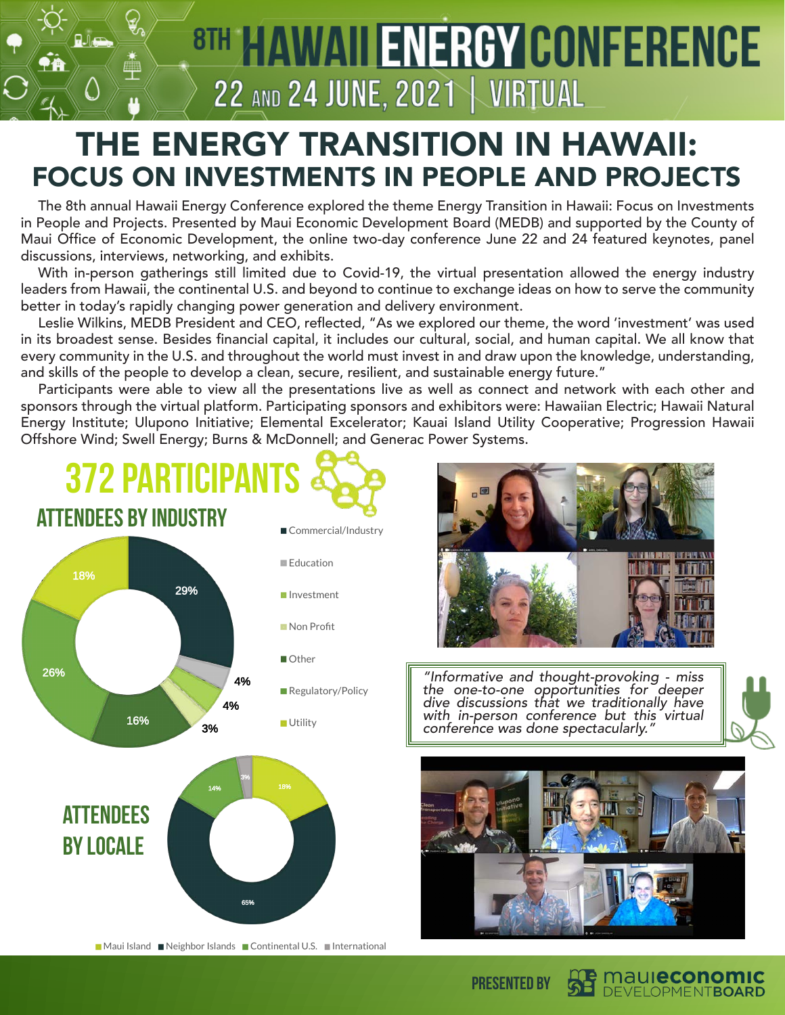

## THE ENERGY TRANSITION IN HAWAII: FOCUS ON INVESTMENTS IN PEOPLE AND PROJECTS

The 8th annual Hawaii Energy Conference explored the theme Energy Transition in Hawaii: Focus on Investments in People and Projects. Presented by Maui Economic Development Board (MEDB) and supported by the County of Maui Office of Economic Development, the online two-day conference June 22 and 24 featured keynotes, panel discussions, interviews, networking, and exhibits.

With in-person gatherings still limited due to Covid-19, the virtual presentation allowed the energy industry leaders from Hawaii, the continental U.S. and beyond to continue to exchange ideas on how to serve the community better in today's rapidly changing power generation and delivery environment.

Leslie Wilkins, MEDB President and CEO, reflected, "As we explored our theme, the word 'investment' was used in its broadest sense. Besides financial capital, it includes our cultural, social, and human capital. We all know that every community in the U.S. and throughout the world must invest in and draw upon the knowledge, understanding, and skills of the people to develop a clean, secure, resilient, and sustainable energy future."

Participants were able to view all the presentations live as well as connect and network with each other and sponsors through the virtual platform. Participating sponsors and exhibitors were: Hawaiian Electric; Hawaii Natural Energy Institute; Ulupono Initiative; Elemental Excelerator; Kauai Island Utility Cooperative; Progression Hawaii Offshore Wind; Swell Energy; Burns & McDonnell; and Generac Power Systems.





*"Informative and thought-provoking - miss the one-to-one opportunities for deeper dive discussions that we traditionally have with in-person conference but this virtual conference was done spectacularly."*



maul**economic** DEVELOPMENTBOARD

Presented by